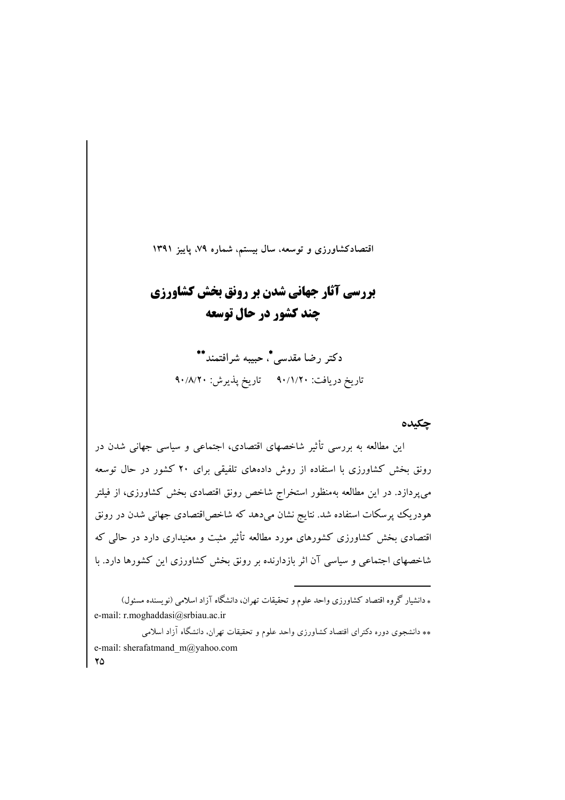اقتصادکشاورزی و توسعه، سال بیستم، شماره ۷۹، پاییز ۱۳۹۱

# بررسی آثار جهانی شدن بر رونق بخش کشاورزی **چند کشور در حال توسعه**

دكتر رضا مقدسي \*، حبيبه شرافتمند\*\* تاريخ دريافت: ٩٠/١/٢٠ تاريخ پذيرش: ٩٠/٨/٢٠

## حكىدە

این مطالعه به بررسی تأثیر شاخصهای اقتصادی، اجتماعی و سیاسی جهانی شدن در رونق بخش کشاورزی با استفاده از روش دادههای تلفیقی برای ۲۰ کشور در حال توسعه می پردازد. در این مطالعه بهمنظور استخراج شاخص رونق اقتصادی بخش کشاورزی، از فیلتر هودریک پرسکات استفاده شد. نتایج نشان میدهد که شاخص اقتصادی جهانی شدن در رونق اقتصادی بخش کشاورزی کشورهای مورد مطالعه تأثیر مثبت و معنیداری دارد در حال<sub>ی</sub> که شاخصهای اجتماعی و سیاسی آن اثر بازدارنده بر رونق بخش کشاورزی این کشورها دارد. با

\* دانشیار گروه اقتصاد کشاورزی واحد علوم و تحقیقات تهران، دانشگاه آزاد اسلامی (نویسنده مسئول) e-mail: r.moghaddasi@srbiau.ac.ir

\*\* دانشجوی دوره دکترای اقتصاد کشاورزی واحد علوم و تحقیقات تهران، دانشگاه آزاد اسلامی e-mail: sherafatmand m@yahoo.com  $\mathbf{Y}\Delta$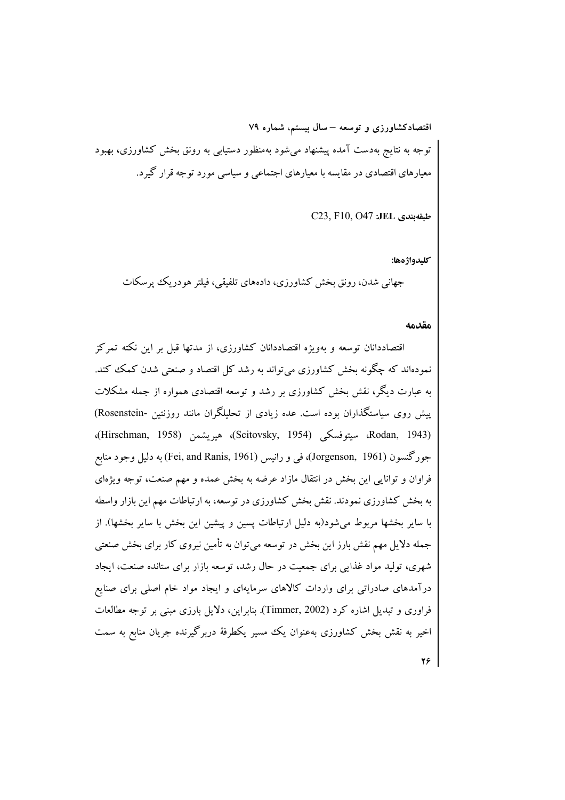اقتصادکشاورزی و توسعه – سال بیستم، شماره ۷۹ توجه به نتایج بهدست آمده پیشنهاد میشود بهمنظور دستیابی به رونق بخش کشاورزی، بهبود معیارهای اقتصادی در مقایسه با معیارهای اجتماعی و سیاسی مورد توجه قرار گیرد.

C23, F10, O47 :JEL د C23

كليدواژهها:

جهاني شدن، رونق بخش كشاورزي، دادههاي تلفيقي، فيلتر هو دريك پر سكات

مقدمه

اقتصاددانان توسعه و مەوپژە اقتصاددانان كشاورزى، از مدتھا قبل بر این نكته تىم كز نمودهاند که چگونه بخش کشاورزی می تواند به رشد کل اقتصاد و صنعتی شدن کمک کند. به عبارت دیگر، نقش بخش کشاورزی بر رشد و توسعه اقتصادی همواره از جمله مشکلات پیش روی سیاستگذاران بوده است. عده زیادی از تحلیلگران مانند روزنتین -Rosenstein) (Rodan, 1943، سيتوفسكي (Scitovsky, 1954)، هيريشمن (Hirschman, 1958)، جورگنسون (Jorgenson, 1961)، في و رانيس (Fei, and Ranis, 1961) به دليل وجود منابع فراوان و توانایی این بخش در انتقال مازاد عرضه به بخش عمده و مهم صنعت، توجه ویژهای به بخش کشاورزی نمودند. نقش بخش کشاورزی در توسعه، به ارتباطات مهم این بازار واسطه با سایر بخشها مربوط میشود(به دلیل ارتباطات پسین و پیشین این بخش با سایر بخشها). از جمله دلایل مهم نقش بارز این بخش در توسعه می توان به تأمین نیروی کار برای بخش صنعتی شهری، تولید مواد غذایی برای جمعیت در حال رشد، توسعه بازار برای ستانده صنعت، ایجاد درآمدهای صادراتی برای واردات کالاهای سرمایهای و ایجاد مواد خام اصلی برای صنایع فراوری و تبدیل اشاره کرد (Timmer, 2002). بنابراین، دلایل بارزی مبنی بر توجه مطالعات اخیر به نقش بخش کشاورزی بهعنوان یک مسیر یکطرفهٔ دربرگیرنده جریان منابع به سمت

 $Y \circ$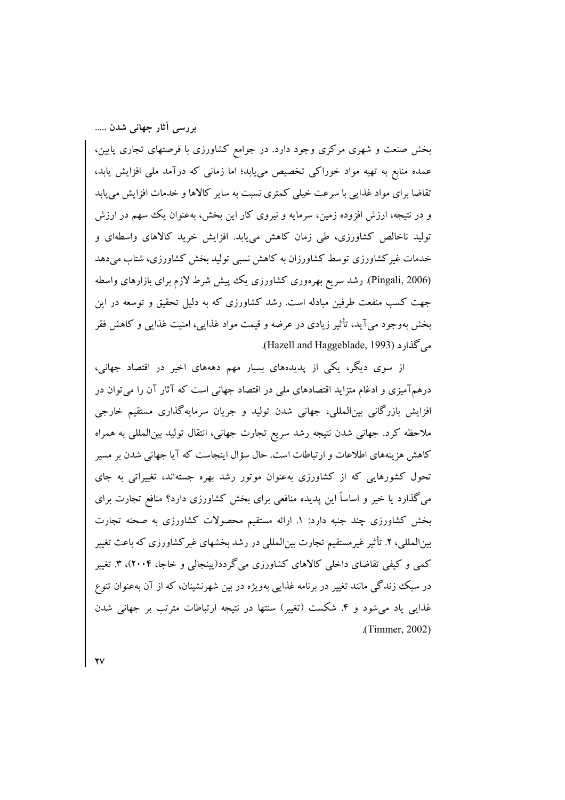بخش صنعت و شهری مرکزی وجود دارد. در جوامع کشاورزی با فرصتهای تجاری پایین، عمده منابع به تهیه مواد خوراکی تخصیص می،یابد؛ اما زمانی که درآمد ملی افزایش یابد، تقاضا برای مواد غذایی با سرعت خیلی کمتری نسبت به سایر کالاها و خدمات افزایش می یابد و در نتیجه، ارزش افزوده زمین، سرمایه و نیروی کار این بخش، بهعنوان یک سهم در ارزش تولید ناخالص کشاورزی، طی زمان کاهش می بابد. افزایش خرید کالاهای واسطهای و خدمات غیرکشاورزی توسط کشاورزان به کاهش نسبی تولید بخش کشاورزی، شتاب میدهد (Pingali, 2006). رشد سریع بھرہوری کشاورزی یک پیش شرط لازم برای بازارہای واسطه جهت کسب منفعت طرفین مبادله است. رشد کشاورزی که به دلیل تحقیق و توسعه در این بخش بهوجود می آید، تأثیر زیادی در عرضه و قیمت مواد غذایی، امنیت غذایی و کاهش فقر می گذارد (Hazell and Haggeblade, 1993).

از سوی دیگر، یکی از پدیدههای بسیار مهم دهههای اخیر در اقتصاد جهانی، درهمآمیزی و ادغام متزاید اقتصادهای ملی در اقتصاد جهانی است که آثار آن را می توان در افزایش بازرگانی بین|لمللی، جهانی شدن تولید و جریان سرمایهگذاری مستقیم خارجی ملاحظه کرد. جهانی شدن نتیجه رشد سریع تجارت جهانی، انتقال تولید بین المللی به همراه کاهش هزینههای اطلاعات و ارتباطات است. حال سؤال اینجاست که آیا جهانی شدن بر مسیر تحول کشورهایی که از کشاورزی بهعنوان موتور رشد بهره جستهاند، تغییراتی به جای می گذارد یا خیر و اساساً این پدیده منافعی برای بخش کشاورزی دارد؟ منافع تجارت برای بخش کشاورزی چند جنبه دارد: ۱. ارائه مستقیم محصولات کشاورزی به صحنه تجارت بینالمللی، ۲. تأثیر غیرمستقیم تجارت بینالمللی در رشد بخشهای غیرکشاورزی که باعث تغییر کمبی و کیفی تقاضای داخلی کالاهای کشاورزی میگردد(پینجالی و خاجا، ۲۰۰۴)، ۳. تغییر در سبک زندگی مانند تغییر در برنامه غذایی بهویژه در بین شهرنشینان، که از آن بهعنوان تنوع غذایی یاد می شود و ۴. شکست (تغییر) سنتها در نتیجه ارتباطات مترتب بر جهانی شدن (Timmer, 2002).

 $\mathbf{Y}$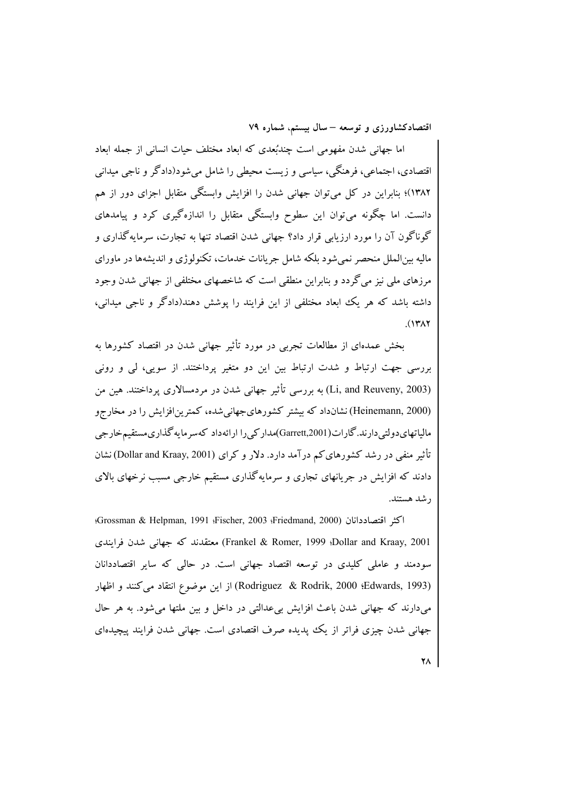اما جهانی شدن مفهومی است چندبُعدی که ابعاد مختلف حیات انسانی از جمله ابعاد اقتصادي، اجتماعي، فرهنگي، سياسي و زيست محيطي را شامل مي شو د(دادگر و ناجي ميداني ۱۳۸۲)؛ بنابراین در کل می توان جهانی شدن را افزایش وابستگی متقابل اجزای دور از هم دانست. اما چگونه میتوان این سطوح وابستگی متقابل را اندازهگیری کرد و پیامدهای گوناگون آن را مورد ارزیابی قرار داد؟ جهانی شدن اقتصاد تنها به تجارت، سرمایهگذاری و مالیه بین|لملل منحصر نمیشود بلکه شامل جریانات خدمات، تکنولوژی و اندیشهها در ماورای مرزهای ملی نیز می گردد و بنابراین منطقی است که شاخصهای مختلفی از جهانی شدن وجود داشته باشد که هر یک ابعاد مختلفی از این فرایند را پوشش دهند(دادگر و ناجی میدانی،  $(141)$ 

بخش عمدهای از مطالعات تجربی در مورد تأثیر جهانی شدن در اقتصاد کشورها به بررسی جهت ارتباط و شدت ارتباط بین این دو متغیر پرداختند. از سویی، لی و رونی (Li, and Reuveny, 2003) به بررسی تأثیر جهانی شدن در مردمسالاری پرداختند. هین من (Heinemann, 2000) نشانداد که بیشتر کشورهای جهانی شده، کمترین افزایش را در مخارجو مالیاتھایدولتی دارند.گارات(Garrett,2001)مدار کی را ارائهداد کهسر مایه گذاری مستقیمخارجی تأثیر منفی در رشد کشورهای کم درآمد دارد. دلار و کرای (Dollar and Kraay, 2001) نشان دادند که افزایش در جریانهای تجاری و سرمایهگذاری مستقیم خارجی مسبب نرخهای بالای ر شد هستند.

اكثر اقتصاددانان (Fischer, 2003 :Friedmand, 2000)؛ Grossman & Helpman, 1991: Dollar and Kraay, 2001؛ Frankel & Romer, 1999) معتقدند که جهانی شدن فرایندی سودمند و عاملی کلیدی در توسعه اقتصاد جهانی است. در حالی که سایر اقتصاددانان (Rodriguez & Rodrik, 2000 (Edwards, 1993) از این موضوع انتقاد می کنند و اظهار میدارند که جهانی شدن باعث افزایش بیعدالتی در داخل و بین ملتها میشود. به هر حال جهانی شدن چیزی فراتر از یک پدیده صرف اقتصادی است. جهانی شدن فرایند پیچیدهای

 $\mathbf{Y}$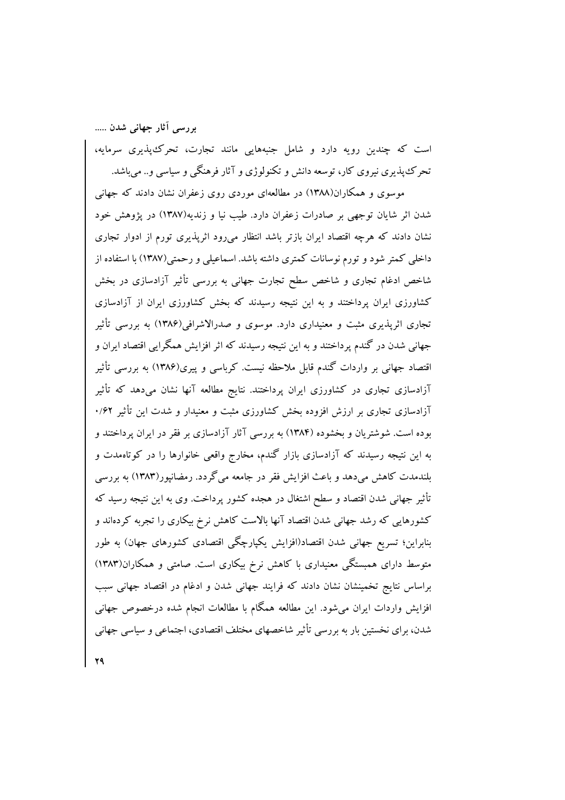است که چندین رویه دارد و شامل جنبههایی مانند تجارت، تحرک پذیری سرمایه، تحرک پذیری نیروی کار، توسعه دانش و تکنولوژی و آثار فرهنگی و سیاسی و.. می باشد.

موسوی و همکاران(۱۳۸۸) در مطالعهای موردی روی زعفران نشان دادند که جهانی شدن اثر شایان توجهی بر صادرات زعفران دارد. طیب نیا و زندیه(۱۳۸۷) در پژوهش خود نشان دادند که هرچه اقتصاد ایران بازتر باشد انتظار میرود اثریذیری تورم از ادوار تجاری داخلی کمتر شود و تورم نوسانات کمتری داشته باشد. اسماعیلی و رحمتی(۱۳۸۷) با استفاده از شاخص ادغام تجاری و شاخص سطح تجارت جهانی به بررسی تأثیر آزادسازی در بخش کشاورزی ایران پرداختند و به این نتیجه رسیدند که بخش کشاورزی ایران از آزادسازی تجاری اثرپذیری مثبت و معنیداری دارد. موسوی و صدرالاشرافی(۱۳۸۶) به بررسی تأثیر جهانی شدن در گندم پرداختند و به این نتیجه رسیدند که اثر افزایش همگرایی اقتصاد ایران و اقتصاد جهانی بر واردات گندم قابل ملاحظه نیست. کرباسی و پیری(۱۳۸۶) به بررسی تأثیر آزادسازی تجاری در کشاورزی ایران پرداختند. نتایج مطالعه آنها نشان میدهد که تأثیر آزادسازی تجاری بر ارزش افزوده بخش کشاورزی مثبت و معنیدار و شدت این تأثیر ۰/۶۲ بوده است. شوشتریان و بخشوده (۱۳۸۴) به بررسی آثار آزادسازی بر فقر در ایران پرداختند و به این نتیجه رسیدند که آزادسازی بازار گندم، مخارج واقعی خانوارها را در کوتاهمدت و بلندمدت کاهش میدهد و باعث افزایش فقر در جامعه میگردد. رمضانپور(۱۳۸۳) به بررسی تأثیر جهانی شدن اقتصاد و سطح اشتغال در هجده کشور پرداخت. وی به این نتیجه رسید که کشورهایی که رشد جهانی شدن اقتصاد آنها بالاست کاهش نرخ بیکاری را تجربه کردهاند و بنابراین؛ تسریع جهانی شدن اقتصاد(افزایش یکپارچگی اقتصادی کشورهای جهان) به طور متوسط دارای همبستگی معنیداری با کاهش نرخ بیکاری است. صامتی و همکاران(۱۳۸۳) براساس نتایج تخمینشان نشان دادند که فرایند جهانی شدن و ادغام در اقتصاد جهانی سبب افزایش واردات ایران میشود. این مطالعه همگام با مطالعات انجام شده درخصوص جهانی شدن، برای نخستین بار به بررسی تأثیر شاخصهای مختلف اقتصادی، اجتماعی و سیاسی جهانی

٢٩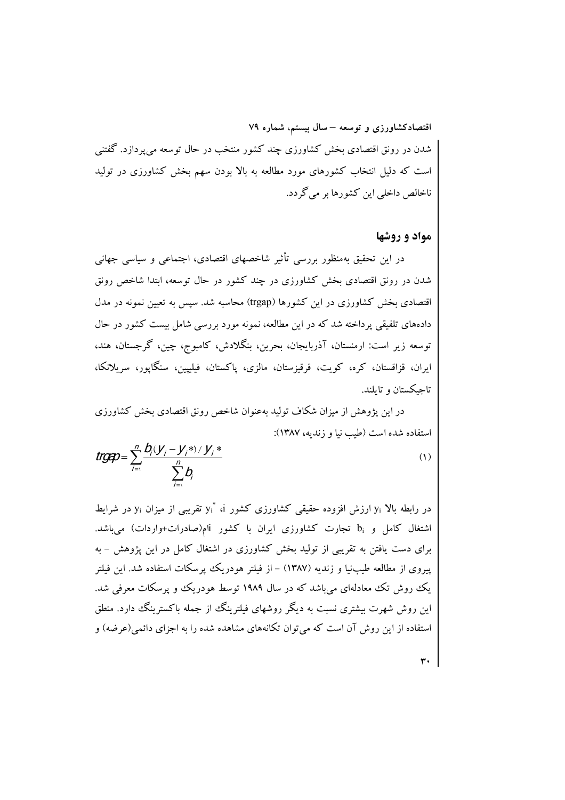اقتصادکشاورزی و توسعه – سال بیستم، شماره ۷۹ شدن در رونق اقتصادی بخش کشاورزی چند کشور منتخب در حال توسعه میپردازد. گفتنی است که دلیل انتخاب کشورهای مورد مطالعه به بالا بودن سهم بخش کشاورزی در تولید ناخالص داخلي اين كشورها بر مي گردد.

# مواد و روشها

در این تحقیق بهمنظور بررسی تأثیر شاخصهای اقتصادی، اجتماعی و سیاسی جهانی شدن در رونق اقتصادی بخش کشاورزی در چند کشور در حال توسعه، ابتدا شاخص رونق اقتصادی بخش کشاورزی در این کشورها (trgap) محاسبه شد. سپس به تعیین نمونه در مدل دادههای تلفیقی پرداخته شد که در این مطالعه، نمونه مورد بررسی شامل بیست کشور در حال توسعه زیر است: ارمنستان، آذربایجان، بحرین، بنگلادش، کامبوج، چین، گرجستان، هند، ايران، قزاقستان، كره، كويت، قرقيزستان، مالزي، پاكستان، فيليپين، سنگاپور، سريلانكا، تاجيكستان و تايلند.

در این پژوهش از میزان شکاف تولید بهعنوان شاخص رونق اقتصادی بخش کشاورزی استفاده شده است (طب نیا و زندیه، ۱۳۸۷):

$$
trgap = \sum_{j=1}^{n} \frac{b_j(y_j - y_j^*)/y_j^*}{\sum_{j=1}^{n} b_j}
$$

در رابطه بالا yi ارزش افزوده حقیقی کشاورزی کشور yi نه پن پیمی از میزان yi در شرایط اشتغال کامل و bi تجارت کشاورزی ایران با کشور jiم(صادرات+واردات) میباشد. برای دست یافتن به تقریبی از تولید بخش کشاورزی در اشتغال کامل در این پژوهش – به پیروی از مطالعه طیبنیا و زندیه (۱۳۸۷) – از فیلتر هودریک پرسکات استفاده شد. این فیلتر یک روش تک معادلهای می باشد که در سال ۱۹۸۹ توسط هودریک و پرسکات معرفی شد. این روش شهرت بیشتری نسبت به دیگر روشهای فیلترینگ از جمله باکسترینگ دارد. منطق استفاده از این روش آن است که می توان تکانههای مشاهده شده را به اجزای دائمی (عرضه) و

٣.

 $(1)$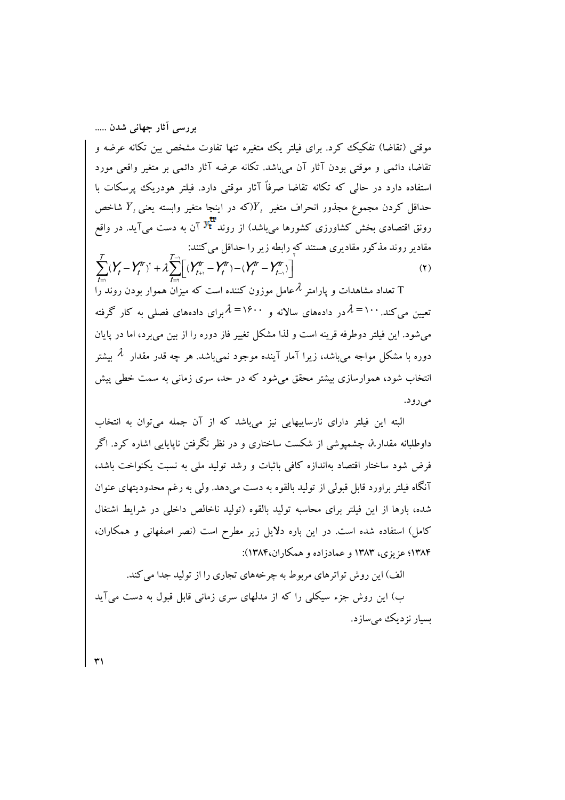بررسی آثار جهانی شدن ..... موقتی (تقاضا) تفکیک کرد. برای فیلتر یک متغیره تنها تفاوت مشخص بین تکانه عرضه و تقاضا، دائمی و موقتی بودن آثار آن می باشد. تکانه عرضه آثار دائمی بر متغیر واقعی مورد استفاده دارد در حالی که تکانه تقاضا صرفاً آثار موقتی دارد. فبلتر هودریک پرسکات با حداقل کردن مجموع مجذور انحراف متغیر  $Y,$ (که در اینجا متغیر وابسته یعنی  $Y$  شاخص رونق اقتصادی بخش کشاورزی کشورها می باشد) از روند <sup>پلا</sup> آن به دست می آید. در واقع مقادیر روند مذکور مقادیری هستند که رابطه زیر را حداقل می کنند:  $\sum_{t=1}^{T} (Y_{t}-Y_{t}^{tr})^{\mathrm{T}} + \lambda \sum_{t=1}^{T-1} \left[ (Y_{t+1}^{tr}-Y_{t}^{tr}) - (Y_{t}^{tr}-Y_{t-1}^{tr}) \right]$  $(5)$ تعداد مشاهدات و یارامتر  $\lambda$ عامل موزون کننده است که میزان هموار بودن روند را  $\rm T$ 

تعیین می کند. ۱۰۰= $\lambda$ در دادههای سالانه و ۱۶۰۰= $\lambda$ برای دادههای فصلی به کار گرفته می،شود. این فیلتر دوطرفه قرینه است و لذا مشکل تغییر فاز دوره را از بین می برد، اما در پایان دوره با مشکل مواجه می باشد، زیرا آمار آینده موجود نمی باشد. هر چه قدر مقدار  $\,\mathcal{X}\,$  بیشتر انتخاب شود، هموارسازی بیشتر محقق می شود که در حد، سری زمانی به سمت خطی پیش مي رود.

البته این فیلتر دارای نارساییهایی نیز می باشد که از آن جمله می توان به انتخاب داوطلبانه مقدار $\lambda$  چشمیوشی از شکست ساختاری و در نظر نگرفتن ناپایایی اشاره کرد. اگر فرض شود ساختار اقتصاد بهاندازه كافي باثبات و رشد توليد ملي به نسبت يكنواخت باشد، آنگاه فیلتر براورد قابل قبولی از تولید بالقوه به دست میدهد. ولی به رغم محدودیتهای عنوان شده، بارها از این فیلتر برای محاسبه تولید بالقوه (تولید ناخالص داخلی در شرایط اشتغال کامل) استفاده شده است. در این باره دلایل زیر مطرح است (نصر اصفهانی و همکاران، ۱۳۸۴؛ عزیزی، ۱۳۸۳ و عمادزاده و همکاران،۱۳۸۴):

الف) این روش تواترهای مربوط به چرخههای تجاری را از تولید جدا می کند.

ب) این روش جزء سیکلی را که از مدلهای سری زمانی قابل قبول به دست میآید ىسبار نزدېك مې سازد.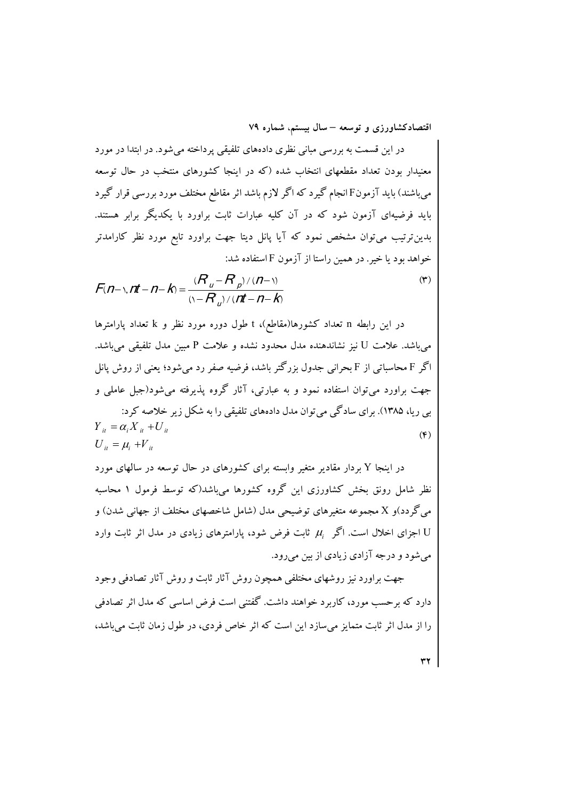در این قسمت به بررسی مبانی نظری دادههای تلفیقی پرداخته میشود. در ابتدا در مورد معنیدار بودن تعداد مقطعهای انتخاب شده (که در اینجا کشورهای منتخب در حال توسعه می باشند) باید آزمونE انجام گیرد که اگر لازم باشد اثر مقاطع مختلف مورد بررسی قرار گیرد باید فرضیهای آزمون شود که در آن کلیه عبارات ثابت براورد با یکدیگر برابر هستند. بدین ترتیب میتوان مشخص نمود که آیا پانل دیتا جهت براورد تابع مورد نظر کارامدتر خواهد بود یا خیر . در همین راستا از آزمون F استفاده شد:

$$
F(n-\gamma, nt-n-k) = \frac{(R_u - R_p) / (n-\gamma)}{(\gamma - R_u) / (nt-n-k)}
$$
(\*)

در این رابطه n تعداد کشورها(مقاطع)، t طول دوره مورد نظر و k تعداد پارامترها میباشد. علامت U نیز نشاندهنده مدل محدود نشده و علامت P مبین مدل تلفیقی میباشد. اگر F محاسباتی از F بحرانی جدول بزرگتر باشد، فرضیه صفر رد میشود؛ یعنی از روش پانل جهت براورد می توان استفاده نمود و به عبارتی، آثار گروه پذیرفته می شود(جبل عاملی و

بی ریا، ۱۳۸۵). برای سادگی می توان مدل دادههای تلفیقی را به شکل زیر خلاصه کرد:  $Y_{it} = \alpha_i X_{it} + U_{it}$  $(F)$  $U_{ii} = \mu_i + V_{ii}$ 

در اینجا Y بردار مقادیر متغیر وابسته برای کشورهای در حال توسعه در سالهای مورد نظر شامل رونق بخش کشاورزی این گروه کشورها می باشد(که توسط فرمول ۱ محاسبه می گر دد)و X مجموعه متغیرهای توضیحی مدل (شامل شاخصهای مختلف از جهانی شدن) و اجزای اخلال است. اگر  $\mu_i$  ثابت فرض شود، یارامترهای زیادی در مدل اثر ثابت وارد  ${\rm U}$ می شود و درجه آزادی زیادی از بین میرود.

جهت براورد نیز روشهای مختلفی همچون روش آثار ثابت و روش آثار تصادفی وجود دارد که بر حسب مورد، کاربرد خواهند داشت. گفتنی است فرض اساسی که مدل اثر تصادفی را از مدل اثر ثابت متمایز می سازد این است که اثر خاص فردی، در طول زمان ثابت می باشد،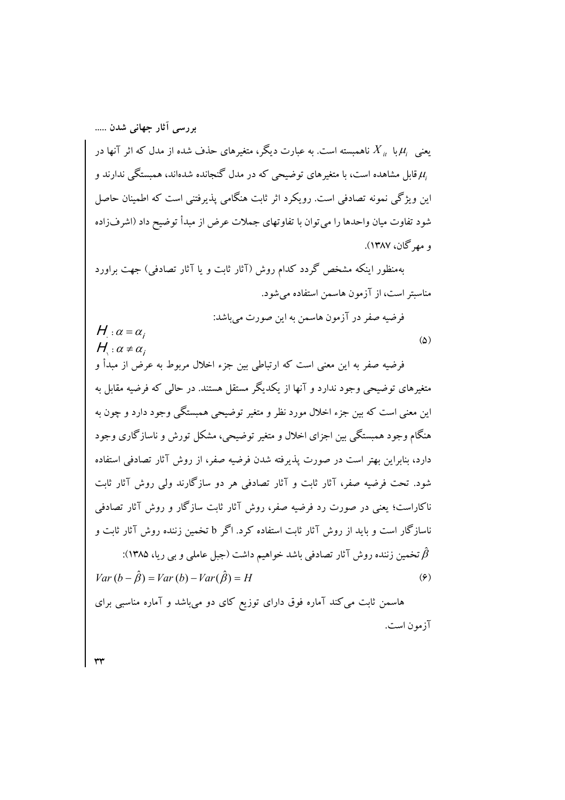بررسی آثار جهانی شدن ..... یعنی  $\mu_i$  با  $\mu_j$  ناهمبسته است. به عبارت دیگر، متغیرهای حذف شده از مدل که اثر آنها در قابل مشاهده است، با متغیرهای توضیحی که در مدل گنجانده شدهاند، همبستگی ندارند و  $\mu_i$ این ویژگی نمونه تصادفی است. رویکرد اثر ثابت هنگامی پذیرفتنی است که اطمینان حاصل شود تفاوت میان واحدها را می توان با تفاوتهای جملات عرض از مبدأ توضیح داد (اشرفزاده و مھ گان، ۱۳۸۷).

بهمنظور اینکه مشخص گردد کدام روش (آثار ثابت و یا آثار تصادفی) جهت براورد مناسبتر است، از آزمون هاسمن استفاده می شود.

$$
H: \alpha = \alpha_i
$$
 فرفیه صفر در آزمون هاسمن به این صورت میباشد:  
\n $H$   $\alpha = \alpha_i$ 

فرضيه صفر به اين معنى است كه ارتباطي بين جزء اخلال مربوط به عرض از مبدأ و متغیرهای توضیحی وجود ندارد و آنها از یکدیگر مستقل هستند. در حالی که فرضیه مقابل به این معنی است که بین جزء اخلال مورد نظر و متغیر توضیحی همبستگی وجود دارد و چون به هنگام وجود همبستگی بین اجزای اخلال و متغیر توضیحی، مشکل تورش و ناسازگاری وجود دارد، بنابراین بهتر است در صورت پذیرفته شدن فرضیه صفر، از روش آثار تصادفی استفاده شود. تحت فرضیه صفر، آثار ثابت و آثار تصادفی هر دو سازگارند ولی روش آثار ثابت ناکاراست؛ یعنی در صورت رد فرضیه صفر، روش آثار ثابت سازگار و روش آثار تصادفی ناسازگار است و پاید از روش آثار ثابت استفاده کرد. اگر b تخمین زننده روش آثار ثابت و  $(144A)$ ، في المنصور على الله عليه الشاب المنصور الشريف المسلم عليه المسلم المسلم عليه المسلم المسلم المسلم المسلم الم

$$
Var(b - \hat{\beta}) = Var(b) - Var(\hat{\beta}) = H
$$
\n(9)

هاسمن ثابت می کند آماره فوق دارای توزیع کای دو میباشد و آماره مناسبی برای آزمون است.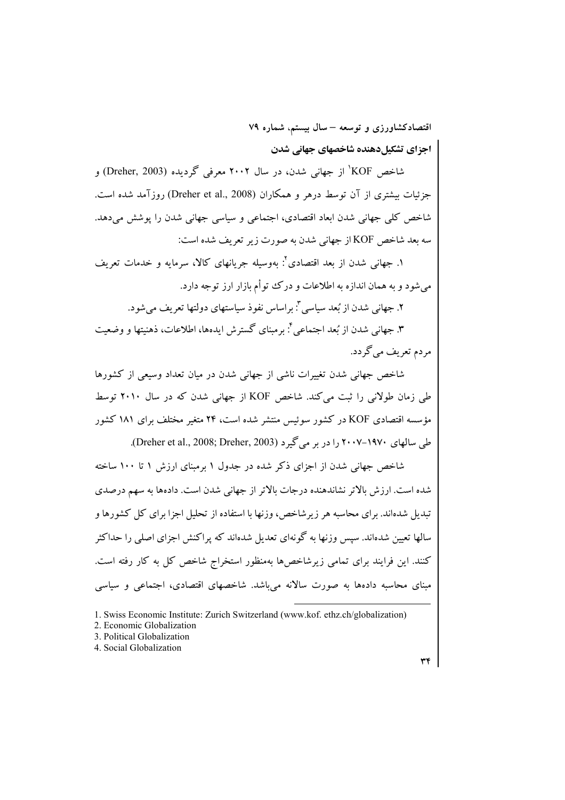اجزای تشکیلدهنده شاخصهای جهانی شدن

شاخص KOF ٰ از جهانی شدن، در سال ۲۰۰۲ معرفی گردیده (Dreher, 2003) و جزئیات بیشتری از آن توسط درهر و همکاران (Dreher et al., 2008) روزآمد شده است. شاخص کلی جهانی شدن ابعاد اقتصادی، اجتماعی و سیاسی جهانی شدن را پوشش می دهد. سه بعد شاخص KOF از جهانی شدن به صورت زیر تعریف شده است:

١. جهاني شدن از يعد اقتصادي": يهوسيله جريانهاي كالا، سرمايه و خدمات تعريف می شود و به همان اندازه به اطلاعات و در ک تتو أم بازار ارز توجه دارد.

۲. جهانی شدن از بُعد سیاسی ": براساس نفوذ سیاستهای دولتها تعریف میشود.

۳. جهانی شدن از بُعد اجتماعی ٔ: برمبنای گسترش ایدهها، اطلاعات، ذهنیتها و وضعیت مردم تعریف می گردد.

شاخص جهانی شدن تغییرات ناشی از جهانی شدن در میان تعداد وسیعی از کشورها طی زمان طولانی را ثبت می کند. شاخص KOF از جهانی شدن که در سال ۲۰۱۰ توسط مؤسسه اقتصادی KOF در کشور سوئیس منتشر شده است، ۲۴ متغیر مختلف برای ۱۸۱ کشور طی سالهای ۲۰۰۷–۲۰۰۷ را در بر میگیرد (Dreher et al., 2008; Dreher, 2003).

شاخص جهانی شدن از اجزای ذکر شده در جدول ۱ برمبنای ارزش ۱ تا ۱۰۰ ساخته شده است. ارزش بالاتر نشاندهنده درجات بالاتر از جهانی شدن است. دادهها به سهم درصدی تبدیل شدهاند. برای محاسبه هر زیرشاخص، وزنها با استفاده از تحلیل اجزا برای کل کشورها و سالها تعیین شدهاند. سیس وزنها به گونهای تعدیل شدهاند که پراکنش اجزای اصلی را حداکثر کنند. این فرایند برای تمامی زیرشاخصها بهمنظور استخراج شاخص کل به کار رفته است. مبنای محاسبه دادهها به صورت سالانه میباشد. شاخصهای اقتصادی، اجتماعی و سیاسی

4. Social Globalization

<sup>1.</sup> Swiss Economic Institute: Zurich Switzerland (www.kof. ethz.ch/globalization)

<sup>2.</sup> Economic Globalization

<sup>3.</sup> Political Globalization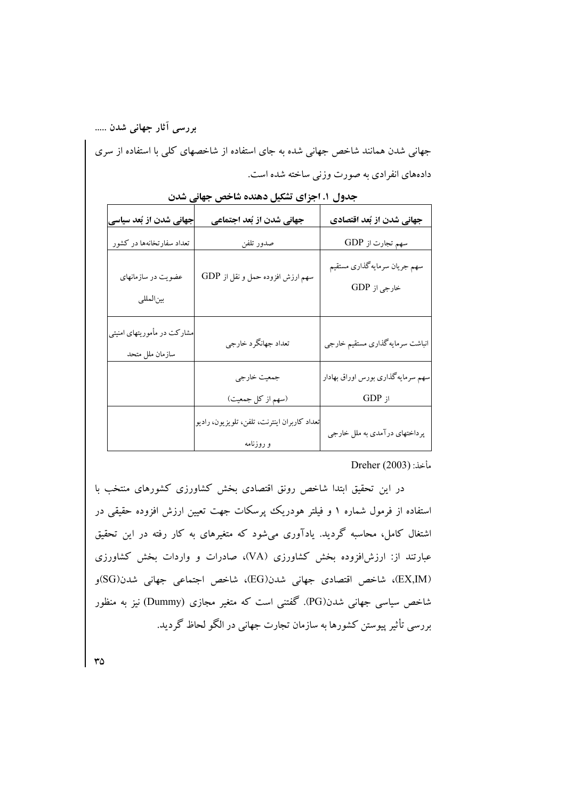جهانی شدن همانند شاخص جهانی شده به جای استفاده از شاخصهای کلی با استفاده از سری دادههای انفرادی به صورت وزنی ساخته شده است.

| جهانی شدن از بُعد سیاسی                        | جهانی شدن از بُعد اجتماعی                                 | جهانی شدن از بُعد اقتصادی                     |  |
|------------------------------------------------|-----------------------------------------------------------|-----------------------------------------------|--|
| تعداد سفارتخانهها در کشور                      | صدور تلفن                                                 | سهم تجارت از GDP                              |  |
| عضویت در سازمانهای<br>بين المللي               | سهم ارزش افزوده حمل و نقل از GDP                          | سهم جريان سرمايه گذاري مستقيم<br>خارجي از GDP |  |
| مشارکت در مأموریتهای امنیتی<br>سازمان ملل متحد | تعداد جهانگرد خارجي                                       | انباشت سرمايه گذارى مستقيم خارجي              |  |
|                                                | جمعيت خارجي                                               | سهم سرمايه گذارى بورس اوراق بهادار            |  |
|                                                | (سهم از كل جمعيت)                                         | $GDP$ از                                      |  |
|                                                | تعداد كاربران اينترنت، تلفن، تلويزيون، راديو<br>و روزنامه | پرداختهای درآمدی به ملل خارجی                 |  |

جدول ۱. اجزای تشکیل دهنده شاخص جهانی شدن

مأخذ: (2003) Dreher

در این تحقیق ابتدا شاخص رونق اقتصادی بخش کشاورزی کشورهای منتخب با استفاده از فرمول شماره ۱ و فیلتر هودریک پرسکات جهت تعیین ارزش افزوده حقیقی در اشتغال کامل، محاسبه گردید. یادآوری میشود که متغیرهای به کار رفته در این تحقیق عبارتند از: ارزشافزوده بخش کشاورزی (VA)، صادرات و واردات بخش کشاورزی (EX,IM)، شاخص اقتصادي جهاني شدن(EG)، شاخص اجتماعي جهاني شدن(SG)و شاخص سیاسی جهانی شدن(PG). گفتنی است که متغیر مجازی (Dummy) نیز به منظور بررسی تأثیر پیوستن کشورها به سازمان تجارت جهانی در الگو لحاظ گردید.

 $r_0$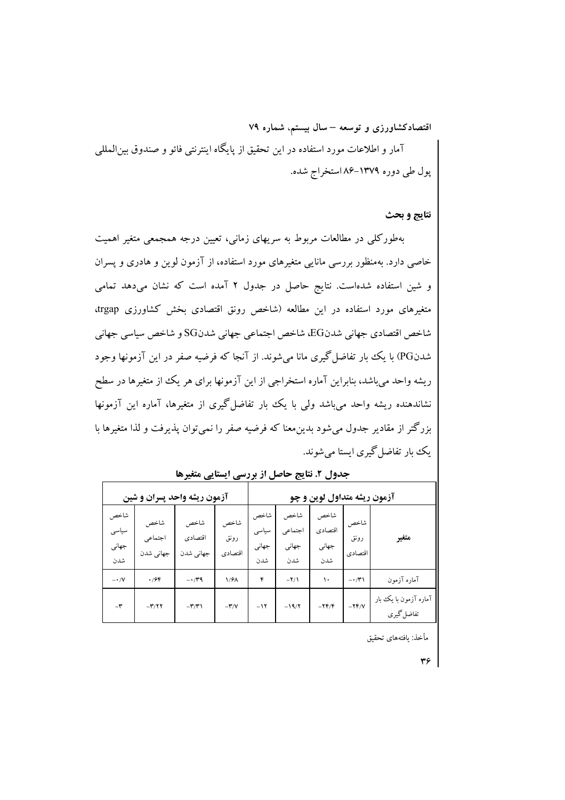آمار و اطلاعات مورد استفاده در این تحقیق از پایگاه اینترنتی فائو و صندوق بین|لمللی پول طی دوره ۱۳۷۹–۸۶ استخراج شده.

نتايج و بحث

بهطورکلی در مطالعات مربوط به سریهای زمانی، تعیین درجه همجمعی متغیر اهمیت خاصی دارد. بهمنظور بررسی مانایی متغیرهای مورد استفاده، از آزمون لوین و هادری و پسران و شین استفاده شدهاست. نتایج حاصل در جدول ۲ آمده است که نشان میدهد تمامی متغیرهای مورد استفاده در این مطالعه (شاخص رونق اقتصادی بخش کشاورزی trgap، شاخص اقتصادي جهاني شدنEG، شاخص اجتماعي جهاني شدنSG و شاخص سياسي جهاني شدنPG) با یک بار تفاضل گیری مانا می شوند. از آنجا که فرضیه صفر در این آزمونها وجود ریشه واحد میباشد، بنابراین آماره استخراجی از این آزمونها برای هر یک از متغیرها در سطح نشاندهنده ریشه واحد می<sub>ن</sub>باشد ول<sub>ی</sub> با یک بار تفاضل گیری از متغیرها، آماره این آزمونها بزرگتر از مقادیر جدول می شود بدین معنا که فرضیه صفر را نمی توان پذیرفت و لذا متغیرها با يک بار تفاضل گيري ايستا مي شوند.

| آزمون ریشه واحد پسران و شین   |                              |                              | آزمون ریشه متداول لوین و چو |                               |                                 |                                 |                         |                                     |
|-------------------------------|------------------------------|------------------------------|-----------------------------|-------------------------------|---------------------------------|---------------------------------|-------------------------|-------------------------------------|
| شاخص<br>سياسى<br>جهاني<br>شدن | شاخص<br>اجتماعي<br>جهاني شدن | شاخص<br>اقتصادى<br>جهاني شدن | شاخص<br>رونق<br>اقتصادي     | شاخص<br>سياسى<br>جهاني<br>شدن | شاخص<br>اجتماعي<br>جهاني<br>شدن | شاخص<br>اقتصادي<br>جهاني<br>شدن | شاخص<br>رونق<br>اقتصادى | متغير                               |
| $ \cdot$ /V                   | .796                         | $-1.79$                      | 1/91                        | ۴                             | $-Y/1$                          | ۱۰                              | $-1$                    | آماره آزمون                         |
| $-\tau$                       | $-\mathbf{r}/\mathbf{r}$     | $-\mathbf{r}/\mathbf{r}$     | $-\mathbf{r}/\mathbf{v}$    | $-11$                         | $-19/7$                         | $-YF/F$                         | $-YF/V$                 | آماره آزمون با یک بار<br>تفاضل گيري |

جدول ۲. نتایج حاصل از بررسی ایستایی متغیرها

مأخذ: يافتههاى تحقيق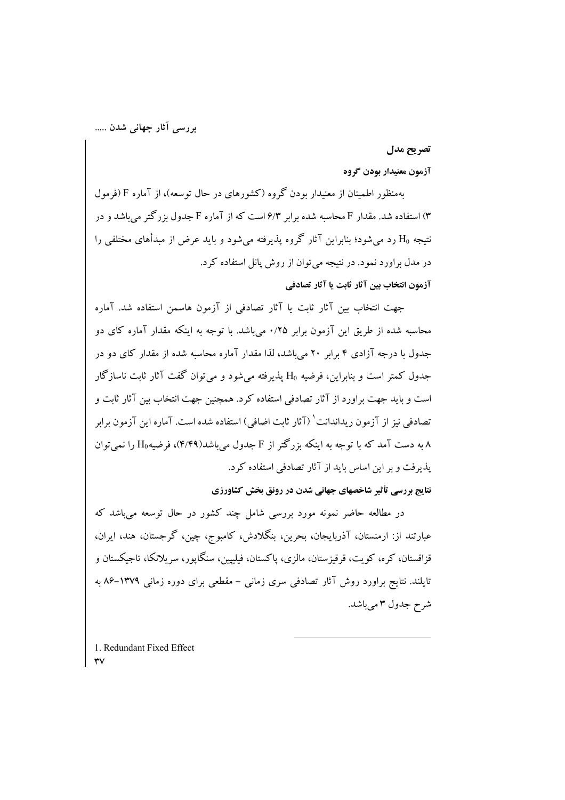#### تصريح مدل

## آزمون معنيدار بودن گروه

بهمنظور اطمینان از معنیدار بودن گروه (کشورهای در حال توسعه)، از آماره F (فرمول ۳) استفاده شد. مقدار F محاسبه شده برابر ۶/۳ است که از آماره F جدول بزرگتر می باشد و در نتیجه H<sub>0</sub> رد می شود؛ بنابراین آثار گروه پذیرفته می شود و باید عرض از مبدأهای مختلفی را در مدل براورد نمود. در نتیجه می توان از روش پانل استفاده کرد. آزمون انتخاب بين آثار ثابت يا آثار تصادفي

جهت انتخاب بين آثار ثابت يا آثار تصادفي از آزمون هاسمن استفاده شد. آماره محاسبه شده از طریق این آزمون برابر ۰/۲۵ می باشد. با توجه به اینکه مقدار آماره کای دو جدول با درجه آزادی ۴ برابر ۲۰ می باشد، لذا مقدار آماره محاسبه شده از مقدار کای دو در جدول کمتر است و بنابراین، فرضیه H<sub>0</sub> پذیرفته میشود و میتوان گفت آثار ثابت ناسازگار است و باید جهت براورد از آثار تصادفی استفاده کرد. همچنین جهت انتخاب بین آثار ثابت و تصادفي نيز از آزمون ريداندانت' (آثار ثابت اضافي) استفاده شده است. آماره اين آزمون برابر ۸ به دست آمد که با توجه به اینکه بزرگتر از F جدول می باشد(۴/۴۹)، فرضیه $\rm H_0$  را نمی توان یذیرفت و بر این اساس باید از آثار تصادفی استفاده کرد.

نتایج بررسی تأثیر شاخصهای جهانی شدن در رونق بخش کشاورزی

در مطالعه حاضر نمونه مورد بررسی شامل چند کشور در حال توسعه می باشد که عبارتند از: ارمنستان، آذربایجان، بحرین، بنگلادش، کامبوج، چین، گرجستان، هند، ایران، قزاقستان، کره، کويت، قرقيزستان، مالزي، پاکستان، فيليپين، سنگايور، سريلانکا، تاجيکستان و تایلند. نتایج براورد روش آثار تصادفی سری زمانی – مقطعی برای دوره زمانی ۱۳۷۹–۸۶ به شرح جدول ۳ می باشد.

1. Redundant Fixed Effect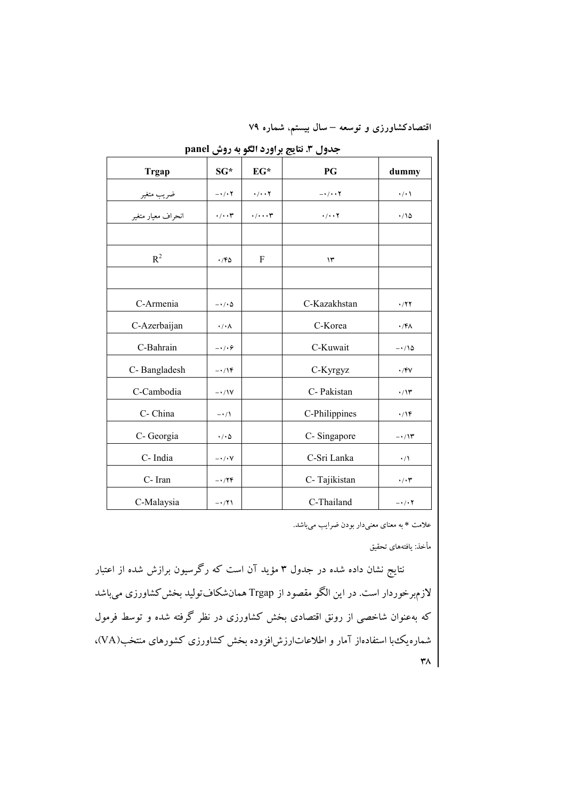اقتصادکشاورزی و توسعه – سال بیستم، شماره ۷۹

| <b>Trgap</b>       | $SG*$                 | $EG*$                  | PG                                                                         | dummy             |  |  |  |
|--------------------|-----------------------|------------------------|----------------------------------------------------------------------------|-------------------|--|--|--|
|                    | $-\cdot/\cdot7$       | $\cdot/\cdot\cdot$ Y   | $-\cdot/\cdot\cdot Y$                                                      | $\cdot/\cdot$ \   |  |  |  |
| انحراف معيار متغير | $\cdot/\cdot\cdot$ ۳  | $\cdot/\cdot\cdot\tau$ | $\boldsymbol{\cdot}/\boldsymbol{\cdot}\boldsymbol{\cdot}$<br><br><br><br>Y | $\cdot$ 10        |  |  |  |
|                    |                       |                        |                                                                            |                   |  |  |  |
| $R^2$              | .76                   | F                      | $\mathcal{N}$                                                              |                   |  |  |  |
|                    |                       |                        |                                                                            |                   |  |  |  |
| C-Armenia          | $-\cdot/\cdot \Delta$ |                        | C-Kazakhstan                                                               | $\cdot$ /۲۲       |  |  |  |
| C-Azerbaijan       | $\cdot/\cdot \wedge$  |                        | C-Korea                                                                    | $\cdot$ /۴۸       |  |  |  |
| C-Bahrain          | $-\cdot/\cdot$        |                        | C-Kuwait                                                                   | $-\cdot/\sqrt{2}$ |  |  |  |
| C-Bangladesh       | $-\cdot/15$           |                        | C-Kyrgyz                                                                   | $\cdot$ /۴۷       |  |  |  |
| C-Cambodia         | $-\cdot/1V$           |                        | C- Pakistan                                                                | $\cdot/\prime$ ۳  |  |  |  |
| C- China           | $-\cdot/1$            |                        | C-Philippines                                                              | $\cdot$ /۱۴       |  |  |  |
| C- Georgia         | $\cdot/\cdot \Delta$  |                        | C-Singapore                                                                | $-\cdot/\gamma$ ۳ |  |  |  |
| C-India            | $-\cdot/\cdot V$      |                        | C-Sri Lanka                                                                | $\cdot/\Lambda$   |  |  |  |
| C-Iran             | $-\cdot$ /۲۴          |                        | C-Tajikistan                                                               | $\cdot/\cdot$ ۳   |  |  |  |
| C-Malaysia         | $-\cdot$ /۲۱          |                        | C-Thailand                                                                 | $-1.7$            |  |  |  |

حدول ٣. نتايج براورد الگو به روش panel

علامت \* به معنای معنیدار بودن ضرایب میباشد.

مأخذ: يافتههاي تحقيق

نتایج نشان داده شده در جدول ۳ مؤید آن است که رگرسیون برازش شده از اعتبار لازمبرخوردار است. در این الگو مقصود از Trgap همانشکافتولید بخش کشاورزی میباشد که بهعنوان شاخصی از رونق اقتصادی بخش کشاورزی در نظر گرفته شده و توسط فرمول شماره یک با استفادهاز آمار و اطلاعاتارزشافزوده بخش کشاورزی کشورهای منتخب(VA)،  $\mathbf{r}$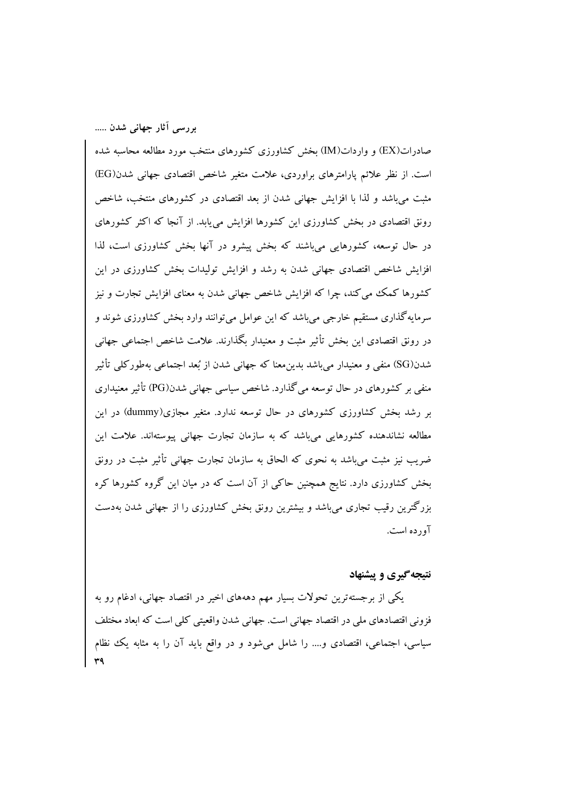صادرات(EX) و واردات(IM) بخش کشاورزی کشورهای منتخب مورد مطالعه محاسبه شده است. از نظر علائم پارامترهای براوردی، علامت متغیر شاخص اقتصادی جهانی شدن(EG) مثبت می باشد و لذا با افزایش جهانی شدن از بعد اقتصادی در کشورهای منتخب، شاخص رونق اقتصادی در بخش کشاورزی این کشورها افزایش می یابد. از آنجا که اکثر کشورهای در حال توسعه، کشورهایی می باشند که بخش پیشرو در آنها بخش کشاورزی است، لذا افزایش شاخص اقتصادی جهانی شدن به رشد و افزایش تولیدات بخش کشاورزی در این کشورها کمک می کند، چرا که افزایش شاخص جهانی شدن به معنای افزایش تجارت و نیز سرمايهگذاري مستقيم خارجي مي باشد که اين عوامل مي توانند وارد بخش کشاورزي شوند و در رونق اقتصادی این بخش تأثیر مثبت و معنیدار بگذارند. علامت شاخص اجتماعی جهانی شدن(SG) منفي و معنيدار مي باشد بدين معنا كه جهاني شدن از بُعد اجتماعي بهطوركلي تأثير منفی بر کشورهای در حال توسعه می گذارد. شاخص سیاسی جهانی شدن(PG) تأثیر معنیداری بر رشد بخش کشاورزی کشورهای در حال توسعه ندارد. متغیر مجازی(dummy) در این مطالعه نشاندهنده کشورهایی میباشد که به سازمان تجارت جهانی پیوستهاند. علامت این ضریب نیز مثبت میباشد به نحوی که الحاق به سازمان تجارت جهانی تأثیر مثبت در رونق بخش کشاورزی دارد. نتایج همچنین حاکی از آن است که در میان این گروه کشورها کره بزرگترین رقیب تجاری می باشد و بیشترین رونق بخش کشاورزی را از جهانی شدن بهدست آورده است.

# نتیجه گیری و پیشنهاد

یکمی از برجستهترین تحولات بسیار مهم دهههای اخیر در اقتصاد جهانبی، ادغام رو به فزونی اقتصادهای ملی در اقتصاد جهانی است. جهانی شدن واقعیتی کلی است که ابعاد مختلف سیاسی، اجتماعی، اقتصادی و…. را شامل میشود و در واقع باید آن را به مثابه یک نظام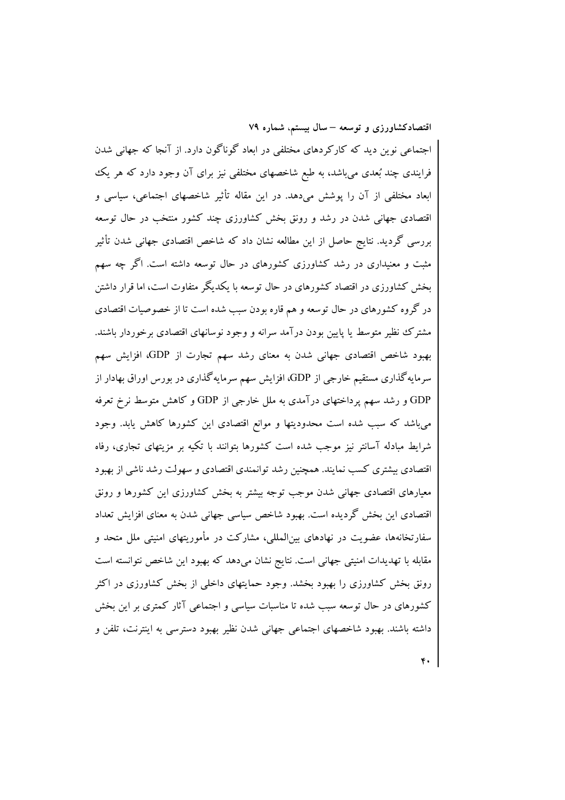اجتماعی نوین دید که کارکردهای مختلفی در ابعاد گوناگون دارد. از آنجا که جهانی شدن فرایندی چند بُعدی میباشد، به طبع شاخصهای مختلفی نیز برای آن وجود دارد که هر یک ابعاد مختلفی از آن را پوشش میدهد. در این مقاله تأثیر شاخصهای اجتماعی، سیاسی و اقتصادی جهانی شدن در رشد و رونق بخش کشاورزی چند کشور منتخب در حال توسعه بررسی گردید. نتایج حاصل از این مطالعه نشان داد که شاخص اقتصادی جهانی شدن تأثیر مثبت و معنیداری در رشد کشاورزی کشورهای در حال توسعه داشته است. اگر چه سهم بخش کشاورزی در اقتصاد کشورهای در حال توسعه با یکدیگر متفاوت است، اما قرار داشتن در گروه کشورهای در حال توسعه و هم قاره بودن سبب شده است تا از خصوصیات اقتصادی مشترک نظیر متوسط یا پایین بودن درآمد سرانه و وجود نوسانهای اقتصادی برخوردار باشند. بهبود شاخص اقتصادی جهانی شدن به معنای رشد سهم تجارت از GDP، افزایش سهم سرمایهگذاری مستقیم خارجی از GDP، افزایش سهم سرمایهگذاری در بورس اوراق بهادار از GDP و رشد سهم پرداختهای درآمدی به ملل خارجی از GDP و کاهش متوسط نرخ تعرفه میباشد که سبب شده است محدودیتها و موانع اقتصادی این کشورها کاهش یابد. وجود شرایط مبادله آسانتر نیز موجب شده است کشورها بتوانند با تکیه بر مزیتهای تجاری، رفاه اقتصادی بیشتری کسب نمایند. همچنین رشد توانمندی اقتصادی و سهولت رشد ناشی از بهبود معیارهای اقتصادی جهانی شدن موجب توجه بیشتر به بخش کشاورزی این کشورها و رونق اقتصادی این بخش گردیده است. بهبود شاخص سیاسی جهانی شدن به معنای افزایش تعداد سفارتخانهها، عضویت در نهادهای بینِالمللی، مشارکت در مأموریتهای امنیتی ملل متحد و مقابله با تهدیدات امنیتی جهانی است. نتایج نشان میدهد که بهبود این شاخص نتوانسته است رونق بخش کشاورزی را بهبود بخشد. وجود حمایتهای داخلی از بخش کشاورزی در اکثر کشورهای در حال توسعه سبب شده تا مناسبات سیاسی و اجتماعی آثار کمتری بر این بخش داشته باشند. بهبود شاخصهای اجتماعی جهانی شدن نظیر بهبود دسترسی به اینترنت، تلفن و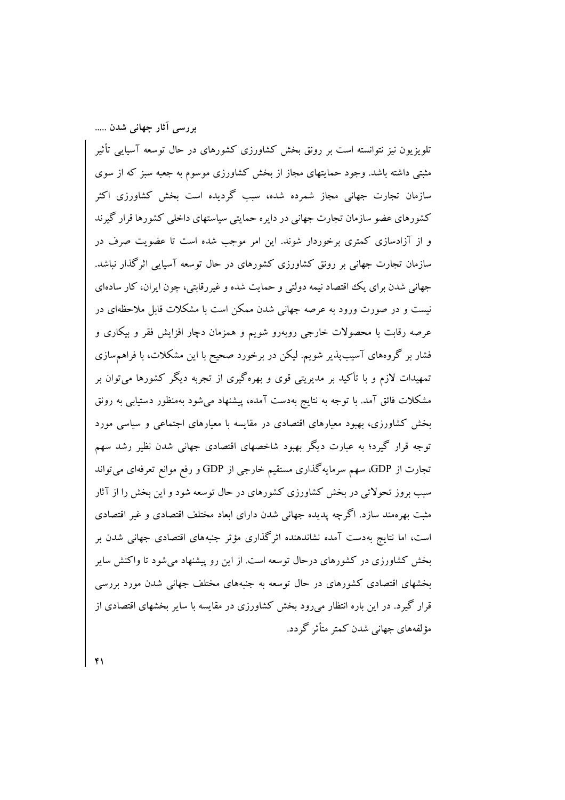تلویزیون نیز نتوانسته است بر رونق بخش کشاورزی کشورهای در حال توسعه آسیایی تأثیر مثبتی داشته باشد. وجود حمایتهای مجاز از بخش کشاورزی موسوم به جعبه سبز که از سوی سازمان تجارت جهانی مجاز شمرده شده، سبب گردیده است بخش کشاورزی اکثر کشورهای عضو سازمان تجارت جهانی در دایره حمایتی سیاستهای داخلی کشورها قرار گیرند و از آزادسازی کمتری برخوردار شوند. این امر موجب شده است تا عضویت صرف در سازمان تجارت جهانی بر رونق کشاورزی کشورهای در حال توسعه آسیایی اثرگذار نباشد. جهانی شدن برای یک اقتصاد نیمه دولتی و حمایت شده و غیررقابتی، چون ایران، کار سادهای نیست و در صورت ورود به عرصه جهانی شدن ممکن است با مشکلات قابل ملاحظهای در عرصه رقابت با محصولات خارجی روبهرو شویم و همزمان دچار افزایش فقر و بیکاری و فشار بر گروههای آسیبپذیر شویم. لیکن در برخورد صحیح با این مشکلات، با فراهمسازی تمهیدات لازم و با تأکید بر مدیریتی قوی و بهرهگیری از تجربه دیگر کشورها میتوان بر مشکلات فائق آمد. با توجه به نتایج بهدست آمده، پیشنهاد می شود بهمنظور دستیابی به رونق بخش کشاورزی، بهبود معیارهای اقتصادی در مقایسه با معیارهای اجتماعی و سیاسی مورد توجه قرار گیرد؛ به عبارت دیگر بهبود شاخصهای اقتصادی جهانی شدن نظیر رشد سهم تجارت از GDP، سهم سرمایهگذاری مستقیم خارجی از GDP و رفع موانع تعرفهای میتواند سبب بروز تحولاتی در بخش کشاورزی کشورهای در حال توسعه شود و این بخش را از آثار مثبت بهرهمند سازد. اگرچه پدیده جهانی شدن دارای ابعاد مختلف اقتصادی و غیر اقتصادی است، اما نتایج بهدست آمده نشاندهنده اثرگذاری مؤثر جنبههای اقتصادی جهانی شدن بر بخش کشاورزی در کشورهای درحال توسعه است. از این رو پیشنهاد می شود تا واکنش سایر بخشهای اقتصادی کشورهای در حال توسعه به جنبههای مختلف جهانی شدن مورد بررسی قرار گیرد. در این باره انتظار میرود بخش کشاورزی در مقایسه با سایر بخشهای اقتصادی از مؤلفههای جهانے شدن کمتر متأثر گردد.

۴١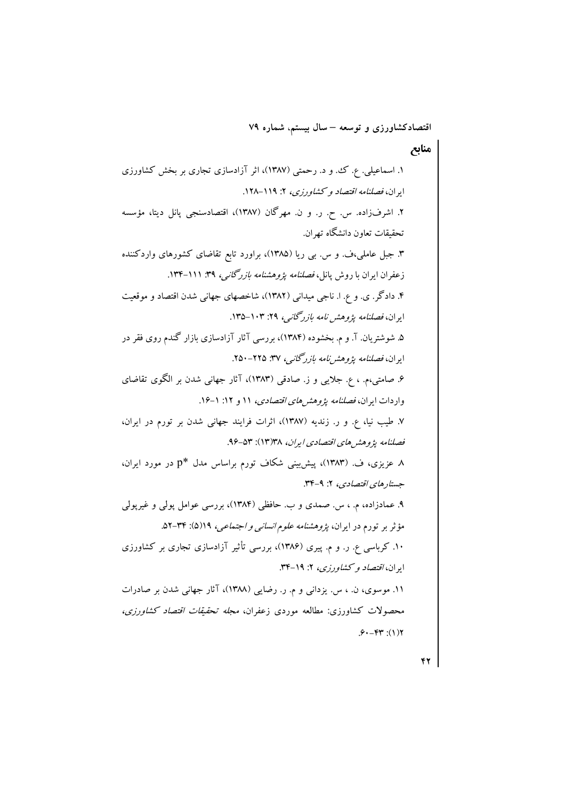$\overline{\mathbf{r}}$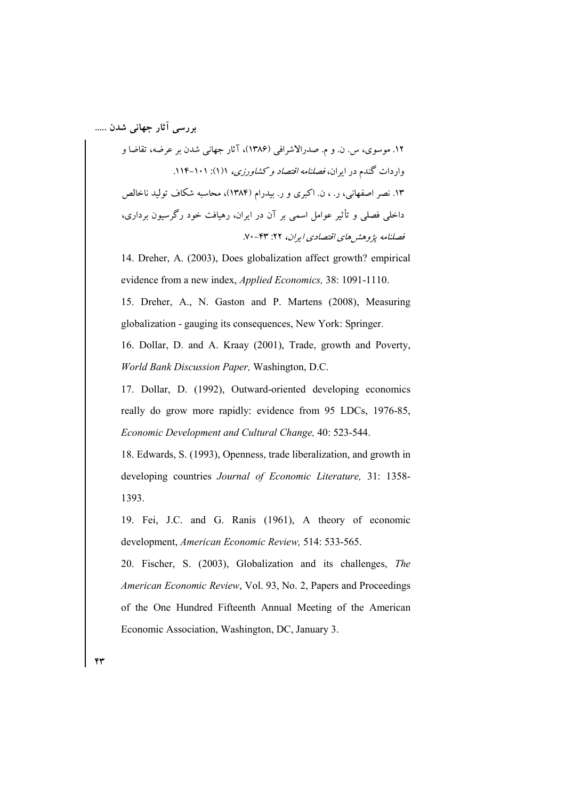۱۲. موسوی، س. ن. و م. صدرالاشرافی (۱۳۸۶)، آثار جهانی شدن بر عرضه، تقاضا و واردات گندم در ایران، *فصلنامه اقتصاد و کشاورزی،* ۱(۱): ۱۰۱–۱۱۴. ۱۳. نصر اصفهانی، ر. ، ن. اکبری و ر. بیدرام (۱۳۸۴)، محاسبه شکاف تولید ناخالص داخلی فصلی و تأثیر عوامل اسمی بر آن در ایران، رهیافت خود رگرسیون برداری، فصلنامه يژوهشر هاي اقتصادي ايران، ۲۲: ۶۳-۷۰.

14. Dreher, A. (2003), Does globalization affect growth? empirical evidence from a new index, *Applied Economics*, 38: 1091-1110. 15. Dreher, A., N. Gaston and P. Martens (2008), Measuring globalization - gauging its consequences, New York: Springer.

16. Dollar, D. and A. Kraay (2001), Trade, growth and Poverty, World Bank Discussion Paper, Washington, D.C.

17. Dollar, D. (1992), Outward-oriented developing economics really do grow more rapidly: evidence from 95 LDCs, 1976-85, Economic Development and Cultural Change, 40: 523-544.

18. Edwards, S. (1993), Openness, trade liberalization, and growth in developing countries Journal of Economic Literature, 31: 1358-1393.

19. Fei, J.C. and G. Ranis (1961), A theory of economic development, American Economic Review, 514: 533-565.

20. Fischer, S. (2003), Globalization and its challenges, The American Economic Review, Vol. 93, No. 2, Papers and Proceedings of the One Hundred Fifteenth Annual Meeting of the American Economic Association, Washington, DC, January 3.

۴۳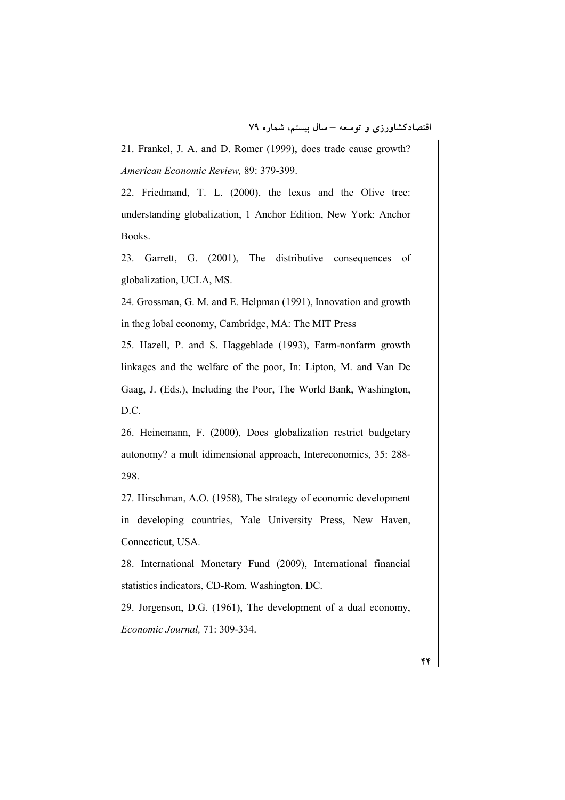21. Frankel, J. A. and D. Romer (1999), does trade cause growth? American Economic Review, 89: 379-399.

22. Friedmand, T. L. (2000), the lexus and the Olive tree: understanding globalization, 1 Anchor Edition, New York: Anchor Books.

23. Garrett, G. (2001), The distributive consequences of globalization, UCLA, MS.

24. Grossman, G. M. and E. Helpman (1991), Innovation and growth in theg lobal economy, Cambridge, MA: The MIT Press

25. Hazell, P. and S. Haggeblade (1993), Farm-nonfarm growth linkages and the welfare of the poor, In: Lipton, M. and Van De Gaag, J. (Eds.), Including the Poor, The World Bank, Washington, D.C.

26. Heinemann, F. (2000), Does globalization restrict budgetary autonomy? a mult idimensional approach, Intereconomics, 35: 288-298.

27. Hirschman, A.O. (1958), The strategy of economic development in developing countries, Yale University Press, New Haven, Connecticut, USA.

28. International Monetary Fund (2009), International financial statistics indicators, CD-Rom, Washington, DC.

29. Jorgenson, D.G. (1961), The development of a dual economy, Economic Journal, 71: 309-334.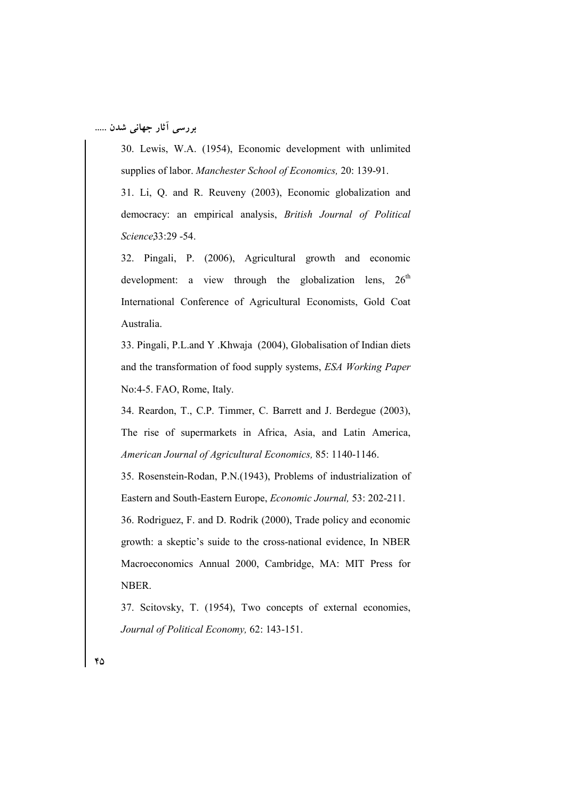30. Lewis, W.A. (1954), Economic development with unlimited supplies of labor. Manchester School of Economics, 20: 139-91.

31. Li, Q. and R. Reuveny (2003), Economic globalization and democracy: an empirical analysis, British Journal of Political Science33:29 -54.

32. Pingali, P. (2006), Agricultural growth and economic development: a view through the globalization lens, 26<sup>th</sup> International Conference of Agricultural Economists, Gold Coat Australia.

33. Pingali, P.L.and Y.Khwaja (2004), Globalisation of Indian diets and the transformation of food supply systems, ESA Working Paper No:4-5. FAO, Rome, Italy.

34. Reardon, T., C.P. Timmer, C. Barrett and J. Berdegue (2003), The rise of supermarkets in Africa, Asia, and Latin America, American Journal of Agricultural Economics, 85: 1140-1146.

35. Rosenstein-Rodan, P.N. (1943), Problems of industrialization of Eastern and South-Eastern Europe, *Economic Journal*, 53: 202-211.

36. Rodriguez, F. and D. Rodrik (2000), Trade policy and economic growth: a skeptic's suide to the cross-national evidence, In NBER Macroeconomics Annual 2000, Cambridge, MA: MIT Press for NBER.

37. Scitovsky, T. (1954), Two concepts of external economies, Journal of Political Economy, 62: 143-151.